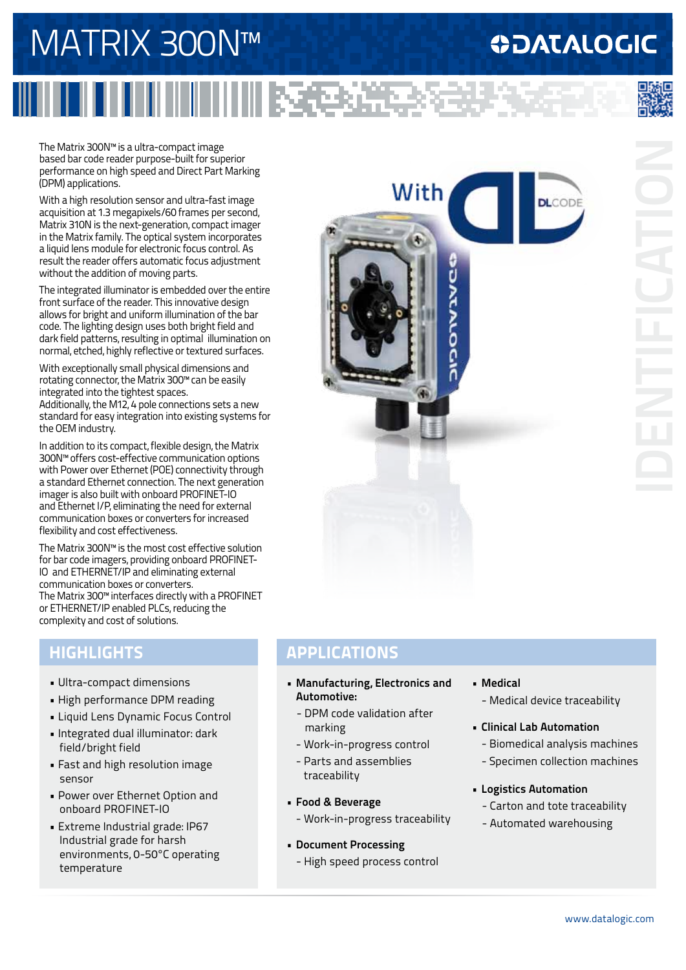# MATRIX 300N™

## **ODATALOGIC**

The Matrix 300N™ is a ultra-compact image based bar code reader purpose-built for superior performance on high speed and Direct Part Marking (DPM) applications.

With a high resolution sensor and ultra-fast image acquisition at 1.3 megapixels/60 frames per second, Matrix 310N is the next-generation, compact imager in the Matrix family. The optical system incorporates a liquid lens module for electronic focus control. As result the reader offers automatic focus adjustment without the addition of moving parts.

The integrated illuminator is embedded over the entire front surface of the reader. This innovative design allows for bright and uniform illumination of the bar code. The lighting design uses both bright field and dark field patterns, resulting in optimal illumination on normal, etched, highly reflective or textured surfaces.

With exceptionally small physical dimensions and rotating connector, the Matrix 300™ can be easily integrated into the tightest spaces. Additionally, the M12, 4 pole connections sets a new standard for easy integration into existing systems for the OEM industry.

In addition to its compact, flexible design, the Matrix 300N™ offers cost-effective communication options with Power over Ethernet (POE) connectivity through a standard Ethernet connection. The next generation imager is also built with onboard PROFINET-IO and Ethernet I/P, eliminating the need for external communication boxes or converters for increased flexibility and cost effectiveness.

The Matrix 300N™ is the most cost effective solution for bar code imagers, providing onboard PROFINET-IO and ETHERNET/IP and eliminating external communication boxes or converters. The Matrix 300™ interfaces directly with a PROFINET or ETHERNET/IP enabled PLCs, reducing the complexity and cost of solutions.

### **HIGHLIGHTS**

- Ultra-compact dimensions
- High performance DPM reading
- Liquid Lens Dynamic Focus Control
- Integrated dual illuminator: dark field/bright field
- Fast and high resolution image sensor
- Power over Ethernet Option and onboard PROFINET-IO
- Extreme Industrial grade: IP67 Industrial grade for harsh environments, 0-50°C operating temperature



### **APPLICATIONS**

|| 医使发光度

- **• Manufacturing, Electronics and Automotive:**
	- DPM code validation after marking
	- Work-in-progress control
	- Parts and assemblies
- traceability
- **• Food & Beverage**
	- Work-in-progress traceability
- **• Document Processing**
	- High speed process control
- **• Medical** - Medical device traceability
- **• Clinical Lab Automation**
	- Biomedical analysis machines
	- Specimen collection machines
- **• Logistics Automation**
	- Carton and tote traceability
	- Automated warehousing